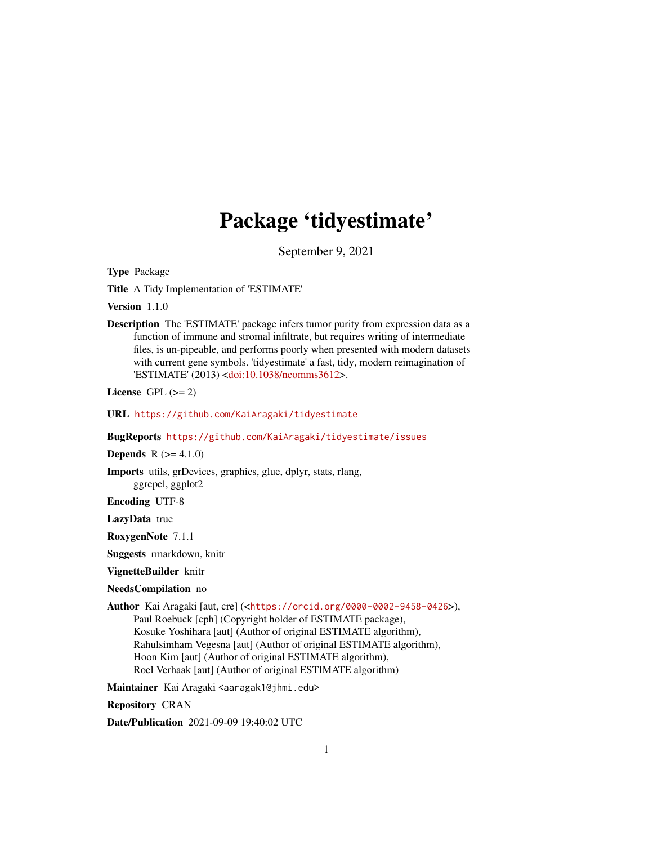## Package 'tidyestimate'

September 9, 2021

Type Package

Title A Tidy Implementation of 'ESTIMATE'

Version 1.1.0

Description The 'ESTIMATE' package infers tumor purity from expression data as a function of immune and stromal infiltrate, but requires writing of intermediate files, is un-pipeable, and performs poorly when presented with modern datasets with current gene symbols. 'tidyestimate' a fast, tidy, modern reimagination of 'ESTIMATE' (2013) [<doi:10.1038/ncomms3612>](https://doi.org/10.1038/ncomms3612).

License GPL  $(>= 2)$ 

URL <https://github.com/KaiAragaki/tidyestimate>

BugReports <https://github.com/KaiAragaki/tidyestimate/issues>

**Depends**  $R (= 4.1.0)$ 

Imports utils, grDevices, graphics, glue, dplyr, stats, rlang, ggrepel, ggplot2

Encoding UTF-8

LazyData true

RoxygenNote 7.1.1

Suggests rmarkdown, knitr

VignetteBuilder knitr

#### NeedsCompilation no

Author Kai Aragaki [aut, cre] (<<https://orcid.org/0000-0002-9458-0426>>),

Paul Roebuck [cph] (Copyright holder of ESTIMATE package), Kosuke Yoshihara [aut] (Author of original ESTIMATE algorithm), Rahulsimham Vegesna [aut] (Author of original ESTIMATE algorithm), Hoon Kim [aut] (Author of original ESTIMATE algorithm), Roel Verhaak [aut] (Author of original ESTIMATE algorithm)

Maintainer Kai Aragaki <aaragak1@jhmi.edu>

Repository CRAN

Date/Publication 2021-09-09 19:40:02 UTC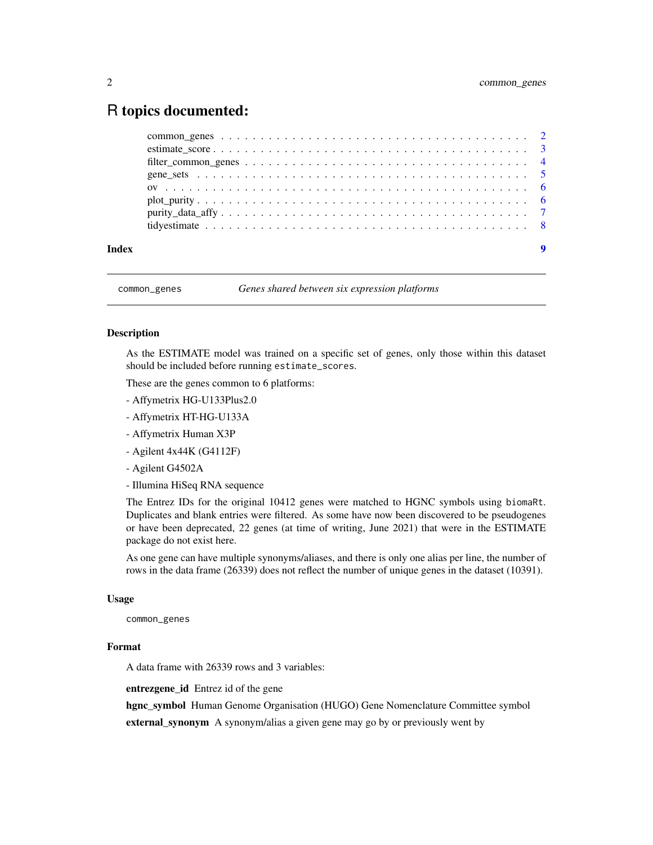## <span id="page-1-0"></span>R topics documented:

| Index | 9 |
|-------|---|

common\_genes *Genes shared between six expression platforms*

#### **Description**

As the ESTIMATE model was trained on a specific set of genes, only those within this dataset should be included before running estimate\_scores.

These are the genes common to 6 platforms:

- Affymetrix HG-U133Plus2.0
- Affymetrix HT-HG-U133A
- Affymetrix Human X3P
- Agilent 4x44K (G4112F)
- Agilent G4502A
- Illumina HiSeq RNA sequence

The Entrez IDs for the original 10412 genes were matched to HGNC symbols using biomaRt. Duplicates and blank entries were filtered. As some have now been discovered to be pseudogenes or have been deprecated, 22 genes (at time of writing, June 2021) that were in the ESTIMATE package do not exist here.

As one gene can have multiple synonyms/aliases, and there is only one alias per line, the number of rows in the data frame (26339) does not reflect the number of unique genes in the dataset (10391).

#### Usage

common\_genes

#### Format

A data frame with 26339 rows and 3 variables:

entrezgene\_id Entrez id of the gene

hgnc\_symbol Human Genome Organisation (HUGO) Gene Nomenclature Committee symbol

external\_synonym A synonym/alias a given gene may go by or previously went by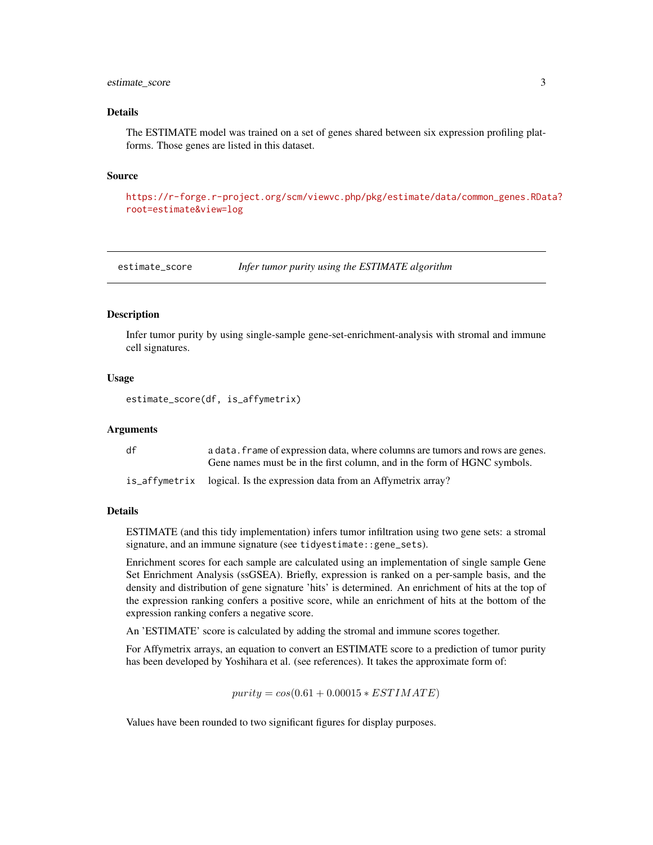#### <span id="page-2-0"></span>estimate\_score 3

#### Details

The ESTIMATE model was trained on a set of genes shared between six expression profiling platforms. Those genes are listed in this dataset.

#### Source

[https://r-forge.r-project.org/scm/viewvc.php/pkg/estimate/data/common\\_genes.RDat](https://r-forge.r-project.org/scm/viewvc.php/pkg/estimate/data/common_genes.RData?root=estimate&view=log)a? [root=estimate&view=log](https://r-forge.r-project.org/scm/viewvc.php/pkg/estimate/data/common_genes.RData?root=estimate&view=log)

estimate\_score *Infer tumor purity using the ESTIMATE algorithm*

#### Description

Infer tumor purity by using single-sample gene-set-enrichment-analysis with stromal and immune cell signatures.

#### Usage

estimate\_score(df, is\_affymetrix)

#### Arguments

| df | a data, frame of expression data, where columns are tumors and rows are genes. |
|----|--------------------------------------------------------------------------------|
|    | Gene names must be in the first column, and in the form of HGNC symbols.       |
|    | is_affymetrix logical. Is the expression data from an Affymetrix array?        |

#### Details

ESTIMATE (and this tidy implementation) infers tumor infiltration using two gene sets: a stromal signature, and an immune signature (see tidyestimate::gene\_sets).

Enrichment scores for each sample are calculated using an implementation of single sample Gene Set Enrichment Analysis (ssGSEA). Briefly, expression is ranked on a per-sample basis, and the density and distribution of gene signature 'hits' is determined. An enrichment of hits at the top of the expression ranking confers a positive score, while an enrichment of hits at the bottom of the expression ranking confers a negative score.

An 'ESTIMATE' score is calculated by adding the stromal and immune scores together.

For Affymetrix arrays, an equation to convert an ESTIMATE score to a prediction of tumor purity has been developed by Yoshihara et al. (see references). It takes the approximate form of:

 $purity = cos(0.61 + 0.00015 * ESTIMATE)$ 

Values have been rounded to two significant figures for display purposes.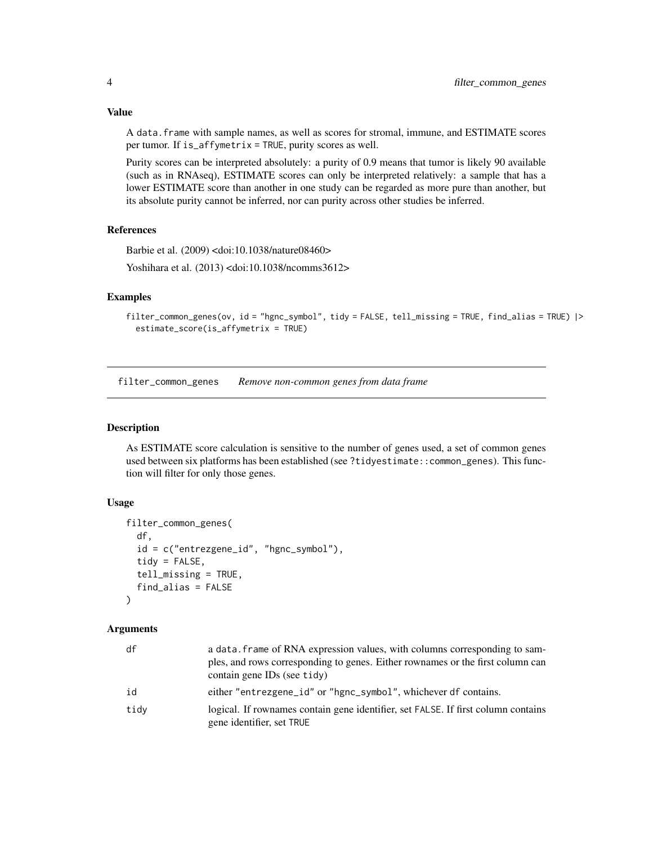### <span id="page-3-0"></span>Value

A data.frame with sample names, as well as scores for stromal, immune, and ESTIMATE scores per tumor. If is\_affymetrix = TRUE, purity scores as well.

Purity scores can be interpreted absolutely: a purity of 0.9 means that tumor is likely 90 available (such as in RNAseq), ESTIMATE scores can only be interpreted relatively: a sample that has a lower ESTIMATE score than another in one study can be regarded as more pure than another, but its absolute purity cannot be inferred, nor can purity across other studies be inferred.

#### References

Barbie et al. (2009) <doi:10.1038/nature08460>

Yoshihara et al. (2013) <doi:10.1038/ncomms3612>

#### Examples

```
filter_common_genes(ov, id = "hgnc_symbol", tidy = FALSE, tell_missing = TRUE, find_alias = TRUE) |>
 estimate_score(is_affymetrix = TRUE)
```
filter\_common\_genes *Remove non-common genes from data frame*

#### Description

As ESTIMATE score calculation is sensitive to the number of genes used, a set of common genes used between six platforms has been established (see ?tidyestimate::common\_genes). This function will filter for only those genes.

#### Usage

```
filter_common_genes(
  df,
  id = c("entrezgene_id", "hgnc_symbol"),
  tidy = FALSE,tell_missing = TRUE,
  find_alias = FALSE
\lambda
```
#### Arguments

| df   | a data, frame of RNA expression values, with columns corresponding to sam-<br>ples, and rows corresponding to genes. Either rownames or the first column can<br>contain gene IDs (see tidy) |
|------|---------------------------------------------------------------------------------------------------------------------------------------------------------------------------------------------|
| id   | either "entrezgene_id" or "hgnc_symbol", whichever df contains.                                                                                                                             |
| tidv | logical. If rownames contain gene identifier, set FALSE. If first column contains<br>gene identifier, set TRUE                                                                              |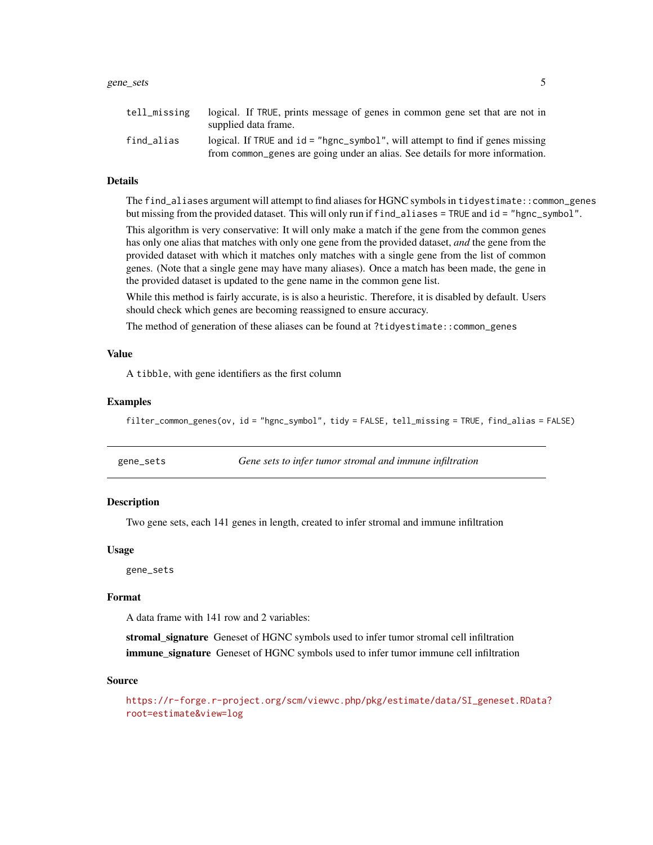#### <span id="page-4-0"></span>gene\_sets 5

| tell missing | logical. If TRUE, prints message of genes in common gene set that are not in<br>supplied data frame.                                                            |
|--------------|-----------------------------------------------------------------------------------------------------------------------------------------------------------------|
| find alias   | logical. If TRUE and id = "hgnc_symbol", will attempt to find if genes missing<br>from common genes are going under an alias. See details for more information. |

#### Details

The find\_aliases argument will attempt to find aliases for HGNC symbols in tidyestimate::common\_genes but missing from the provided dataset. This will only run if find\_aliases = TRUE and id = "hgnc\_symbol".

This algorithm is very conservative: It will only make a match if the gene from the common genes has only one alias that matches with only one gene from the provided dataset, *and* the gene from the provided dataset with which it matches only matches with a single gene from the list of common genes. (Note that a single gene may have many aliases). Once a match has been made, the gene in the provided dataset is updated to the gene name in the common gene list.

While this method is fairly accurate, is is also a heuristic. Therefore, it is disabled by default. Users should check which genes are becoming reassigned to ensure accuracy.

The method of generation of these aliases can be found at ?tidyestimate::common\_genes

#### Value

A tibble, with gene identifiers as the first column

#### Examples

filter\_common\_genes(ov, id = "hgnc\_symbol", tidy = FALSE, tell\_missing = TRUE, find\_alias = FALSE)

| gene_sets | Gene sets to infer tumor stromal and immune infiltration |
|-----------|----------------------------------------------------------|
|-----------|----------------------------------------------------------|

#### Description

Two gene sets, each 141 genes in length, created to infer stromal and immune infiltration

#### Usage

gene\_sets

#### Format

A data frame with 141 row and 2 variables:

stromal\_signature Geneset of HGNC symbols used to infer tumor stromal cell infiltration **immune** signature Geneset of HGNC symbols used to infer tumor immune cell infiltration

#### Source

[https://r-forge.r-project.org/scm/viewvc.php/pkg/estimate/data/SI\\_geneset.RData?](https://r-forge.r-project.org/scm/viewvc.php/pkg/estimate/data/SI_geneset.RData?root=estimate&view=log) [root=estimate&view=log](https://r-forge.r-project.org/scm/viewvc.php/pkg/estimate/data/SI_geneset.RData?root=estimate&view=log)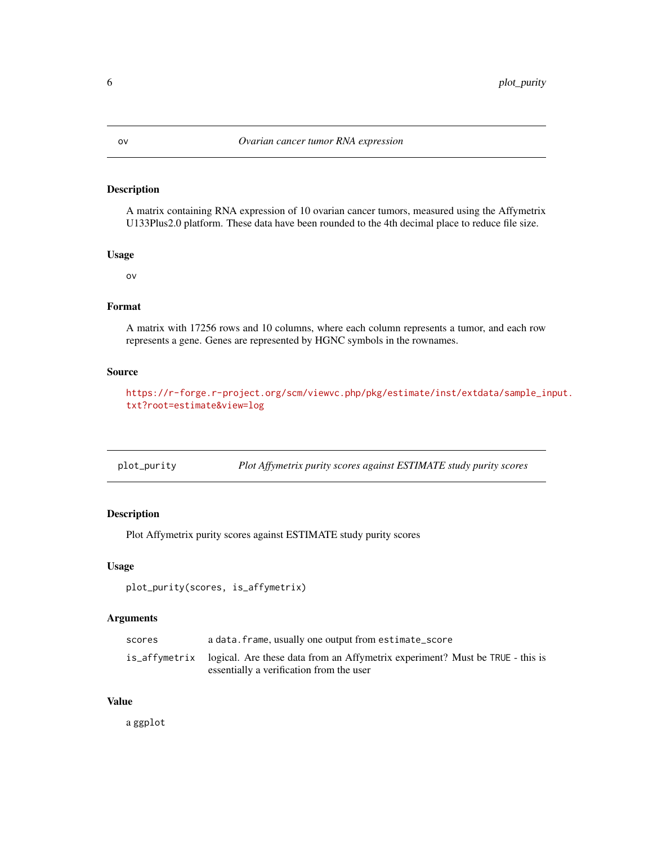#### <span id="page-5-0"></span>Description

A matrix containing RNA expression of 10 ovarian cancer tumors, measured using the Affymetrix U133Plus2.0 platform. These data have been rounded to the 4th decimal place to reduce file size.

#### Usage

ov

### Format

A matrix with 17256 rows and 10 columns, where each column represents a tumor, and each row represents a gene. Genes are represented by HGNC symbols in the rownames.

#### Source

[https://r-forge.r-project.org/scm/viewvc.php/pkg/estimate/inst/extdata/sample\\_in](https://r-forge.r-project.org/scm/viewvc.php/pkg/estimate/inst/extdata/sample_input.txt?root=estimate&view=log)put. [txt?root=estimate&view=log](https://r-forge.r-project.org/scm/viewvc.php/pkg/estimate/inst/extdata/sample_input.txt?root=estimate&view=log)

| plot_purity | Plot Affymetrix purity scores against ESTIMATE study purity scores |
|-------------|--------------------------------------------------------------------|
|-------------|--------------------------------------------------------------------|

### Description

Plot Affymetrix purity scores against ESTIMATE study purity scores

#### Usage

```
plot_purity(scores, is_affymetrix)
```
### Arguments

| scores | a data. frame, usually one output from estimate_score                                       |
|--------|---------------------------------------------------------------------------------------------|
|        | is_affymetrix logical. Are these data from an Affymetrix experiment? Must be TRUE - this is |
|        | essentially a verification from the user                                                    |

#### Value

a ggplot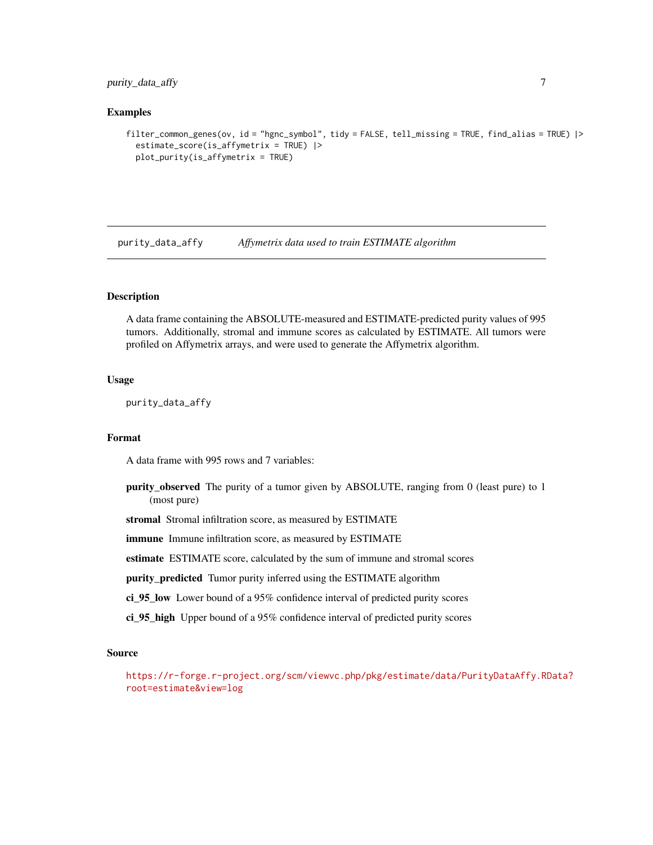<span id="page-6-0"></span>purity\_data\_affy 7

#### Examples

```
filter_common_genes(ov, id = "hgnc_symbol", tidy = FALSE, tell_missing = TRUE, find_alias = TRUE) |>
 estimate_score(is_affymetrix = TRUE) |>
 plot_purity(is_affymetrix = TRUE)
```
purity\_data\_affy *Affymetrix data used to train ESTIMATE algorithm*

#### Description

A data frame containing the ABSOLUTE-measured and ESTIMATE-predicted purity values of 995 tumors. Additionally, stromal and immune scores as calculated by ESTIMATE. All tumors were profiled on Affymetrix arrays, and were used to generate the Affymetrix algorithm.

#### Usage

purity\_data\_affy

#### Format

A data frame with 995 rows and 7 variables:

purity\_observed The purity of a tumor given by ABSOLUTE, ranging from 0 (least pure) to 1 (most pure)

stromal Stromal infiltration score, as measured by ESTIMATE

immune Immune infiltration score, as measured by ESTIMATE

estimate ESTIMATE score, calculated by the sum of immune and stromal scores

purity\_predicted Tumor purity inferred using the ESTIMATE algorithm

ci\_95\_low Lower bound of a 95% confidence interval of predicted purity scores

ci\_95\_high Upper bound of a 95% confidence interval of predicted purity scores

#### Source

[https://r-forge.r-project.org/scm/viewvc.php/pkg/estimate/data/PurityDataAffy.RD](https://r-forge.r-project.org/scm/viewvc.php/pkg/estimate/data/PurityDataAffy.RData?root=estimate&view=log)ata? [root=estimate&view=log](https://r-forge.r-project.org/scm/viewvc.php/pkg/estimate/data/PurityDataAffy.RData?root=estimate&view=log)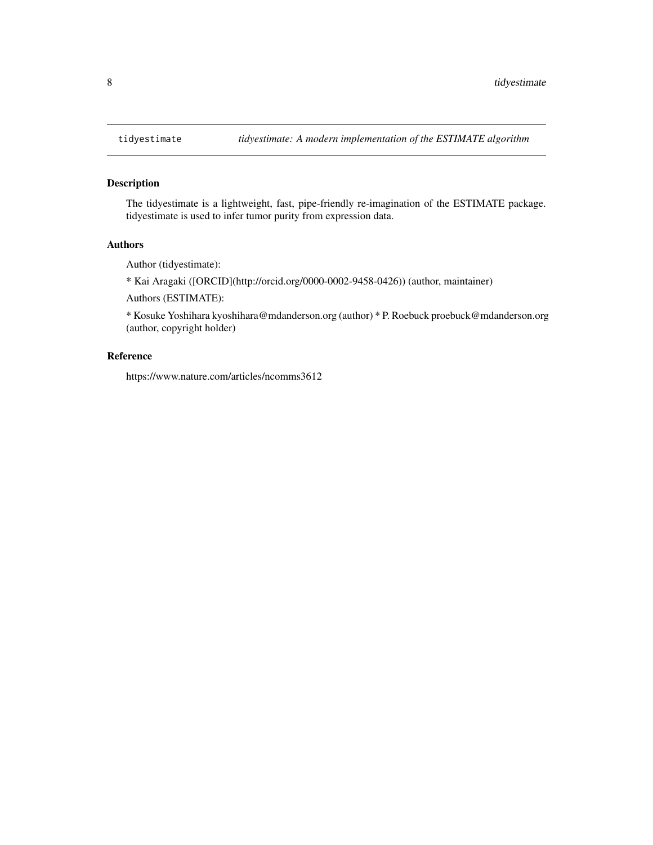#### Description

The tidyestimate is a lightweight, fast, pipe-friendly re-imagination of the ESTIMATE package. tidyestimate is used to infer tumor purity from expression data.

#### Authors

Author (tidyestimate):

\* Kai Aragaki ([ORCID](http://orcid.org/0000-0002-9458-0426)) (author, maintainer)

Authors (ESTIMATE):

\* Kosuke Yoshihara kyoshihara@mdanderson.org (author) \* P. Roebuck proebuck@mdanderson.org (author, copyright holder)

#### Reference

https://www.nature.com/articles/ncomms3612